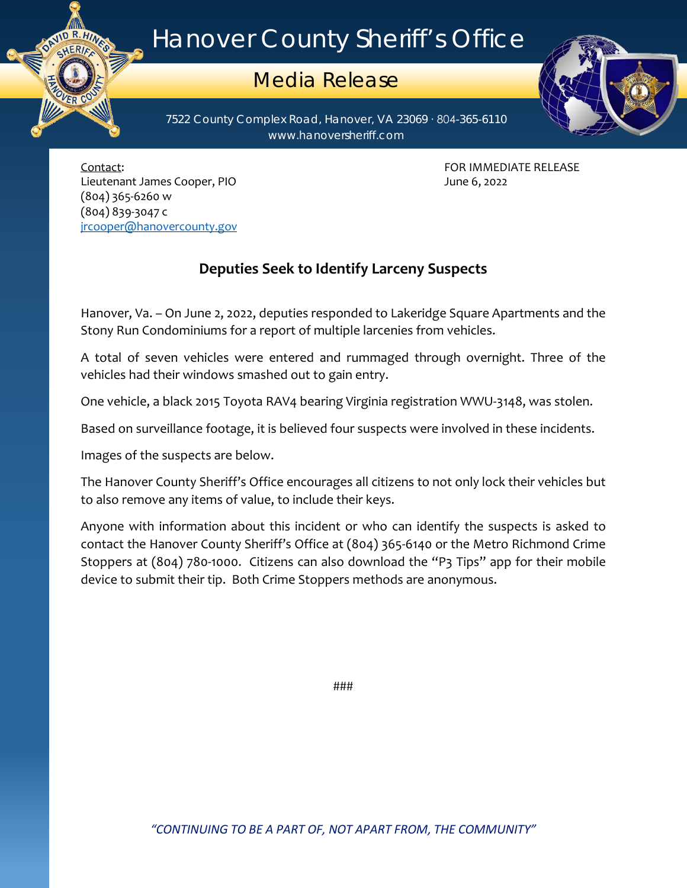## Hanover County Sheriff's Office

## Media Release

7522 County Complex Road, Hanover, VA 23069 ∙ 804-365-6110 www.hanoversheriff.com



Contact: FOR IMMEDIATE RELEASE Lieutenant James Cooper, PIO June 6, 2022 (804) 365-6260 w (804) 839-3047 c [jrcooper@hanovercounty.gov](mailto:jrcooper@hanovercounty.gov)

## **Deputies Seek to Identify Larceny Suspects**

Hanover, Va. – On June 2, 2022, deputies responded to Lakeridge Square Apartments and the Stony Run Condominiums for a report of multiple larcenies from vehicles.

A total of seven vehicles were entered and rummaged through overnight. Three of the vehicles had their windows smashed out to gain entry.

One vehicle, a black 2015 Toyota RAV4 bearing Virginia registration WWU-3148, was stolen.

Based on surveillance footage, it is believed four suspects were involved in these incidents.

Images of the suspects are below.

The Hanover County Sheriff's Office encourages all citizens to not only lock their vehicles but to also remove any items of value, to include their keys.

Anyone with information about this incident or who can identify the suspects is asked to contact the Hanover County Sheriff's Office at (804) 365-6140 or the Metro Richmond Crime Stoppers at (804) 780-1000. Citizens can also download the "P3 Tips" app for their mobile device to submit their tip. Both Crime Stoppers methods are anonymous.

###